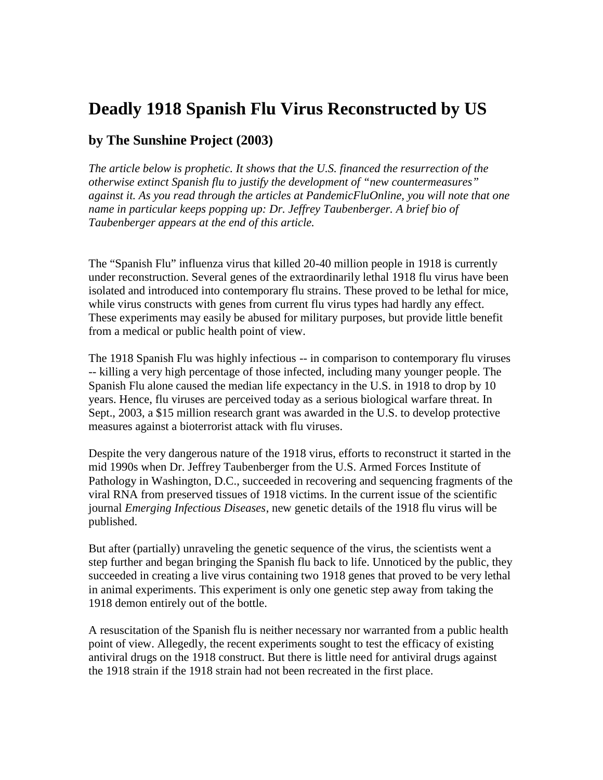## **Deadly 1918 Spanish Flu Virus Reconstructed by US**

## **by The Sunshine Project (2003)**

*The article below is prophetic. It shows that the U.S. financed the resurrection of the otherwise extinct Spanish flu to justify the development of "new countermeasures" against it. As you read through the articles at PandemicFluOnline, you will note that one name in particular keeps popping up: Dr. Jeffrey Taubenberger. A brief bio of Taubenberger appears at the end of this article.*

The "Spanish Flu" influenza virus that killed 20-40 million people in 1918 is currently under reconstruction. Several genes of the extraordinarily lethal 1918 flu virus have been isolated and introduced into contemporary flu strains. These proved to be lethal for mice, while virus constructs with genes from current flu virus types had hardly any effect. These experiments may easily be abused for military purposes, but provide little benefit from a medical or public health point of view.

The 1918 Spanish Flu was highly infectious -- in comparison to contemporary flu viruses -- killing a very high percentage of those infected, including many younger people. The Spanish Flu alone caused the median life expectancy in the U.S. in 1918 to drop by 10 years. Hence, flu viruses are perceived today as a serious biological warfare threat. In Sept., 2003, a \$15 million research grant was awarded in the U.S. to develop protective measures against a bioterrorist attack with flu viruses.

Despite the very dangerous nature of the 1918 virus, efforts to reconstruct it started in the mid 1990s when Dr. Jeffrey Taubenberger from the U.S. Armed Forces Institute of Pathology in Washington, D.C., succeeded in recovering and sequencing fragments of the viral RNA from preserved tissues of 1918 victims. In the current issue of the scientific journal *Emerging Infectious Diseases*, new genetic details of the 1918 flu virus will be published.

But after (partially) unraveling the genetic sequence of the virus, the scientists went a step further and began bringing the Spanish flu back to life. Unnoticed by the public, they succeeded in creating a live virus containing two 1918 genes that proved to be very lethal in animal experiments. This experiment is only one genetic step away from taking the 1918 demon entirely out of the bottle.

A resuscitation of the Spanish flu is neither necessary nor warranted from a public health point of view. Allegedly, the recent experiments sought to test the efficacy of existing antiviral drugs on the 1918 construct. But there is little need for antiviral drugs against the 1918 strain if the 1918 strain had not been recreated in the first place.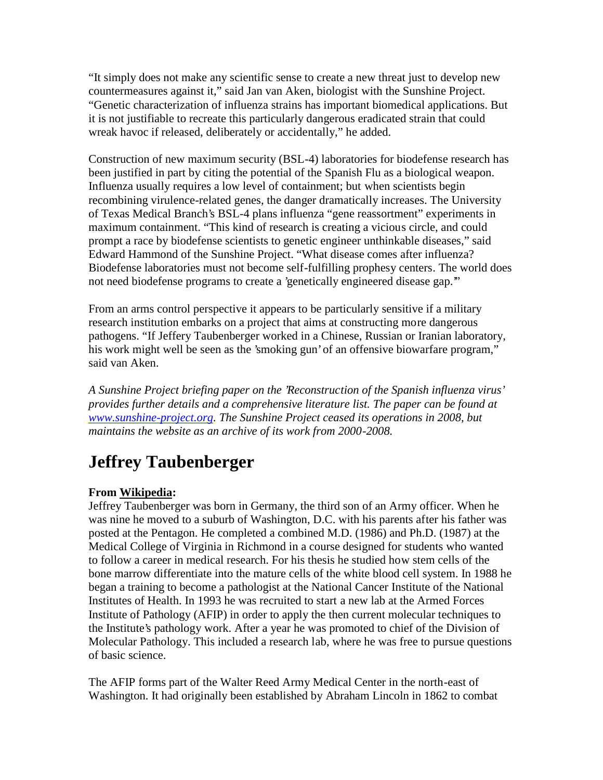"It simply does not make any scientific sense to create a new threat just to develop new countermeasures against it," said Jan van Aken, biologist with the Sunshine Project. "Genetic characterization of influenza strains has important biomedical applications. But it is not justifiable to recreate this particularly dangerous eradicated strain that could wreak havoc if released, deliberately or accidentally," he added.

Construction of new maximum security (BSL-4) laboratories for biodefense research has been justified in part by citing the potential of the Spanish Flu as a biological weapon. Influenza usually requires a low level of containment; but when scientists begin recombining virulence-related genes, the danger dramatically increases. The University of Texas Medical Branch's BSL-4 plans influenza "gene reassortment" experiments in maximum containment. "This kind of research is creating a vicious circle, and could prompt a race by biodefense scientists to genetic engineer unthinkable diseases," said Edward Hammond of the Sunshine Project. "What disease comes after influenza? Biodefense laboratories must not become self-fulfilling prophesy centers. The world does not need biodefense programs to create a 'genetically engineered disease gap."

From an arms control perspective it appears to be particularly sensitive if a military research institution embarks on a project that aims at constructing more dangerous pathogens. "If Jeffery Taubenberger worked in a Chinese, Russian or Iranian laboratory, his work might well be seen as the 'smoking gun' of an offensive biowarfare program," said van Aken.

*A Sunshine Project briefing paper on the 'Reconstruction of the Spanish influenza virus' provides further details and a comprehensive literature list. The paper can be found at www.sunshine-project.org. The Sunshine Project ceased its operations in 2008, but maintains the website as an archive of its work from 2000-2008.*

## **Jeffrey Taubenberger**

## **From Wikipedia:**

Jeffrey Taubenberger was born in Germany, the third son of an Army officer. When he was nine he moved to a suburb of Washington, D.C. with his parents after his father was posted at the Pentagon. He completed a combined M.D. (1986) and Ph.D. (1987) at the Medical College of Virginia in Richmond in a course designed for students who wanted to follow a career in medical research. For his thesis he studied how stem cells of the bone marrow differentiate into the mature cells of the white blood cell system. In 1988 he began a training to become a pathologist at the National Cancer Institute of the National Institutes of Health. In 1993 he was recruited to start a new lab at the Armed Forces Institute of Pathology (AFIP) in order to apply the then current molecular techniques to the Institute's pathology work. After a year he was promoted to chief of the Division of Molecular Pathology. This included a research lab, where he was free to pursue questions of basic science.

The AFIP forms part of the Walter Reed Army Medical Center in the north-east of Washington. It had originally been established by Abraham Lincoln in 1862 to combat